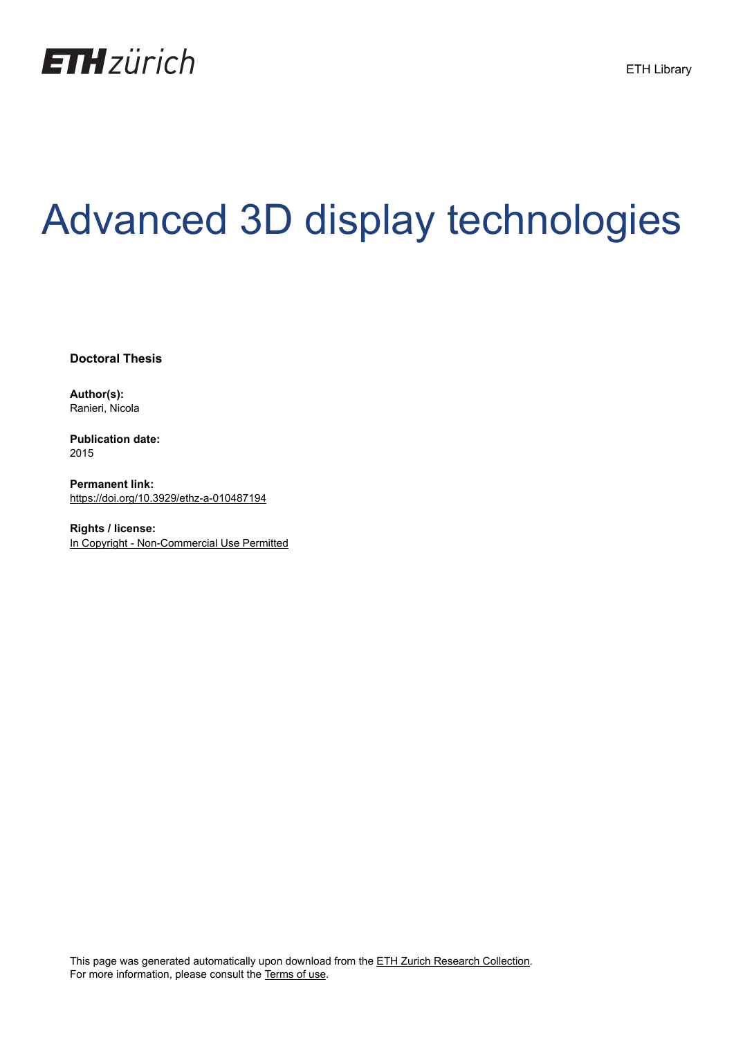

# Advanced 3D display technologies

**Doctoral Thesis**

**Author(s):** Ranieri, Nicola

**Publication date:** 2015

**Permanent link:** <https://doi.org/10.3929/ethz-a-010487194>

**Rights / license:** [In Copyright - Non-Commercial Use Permitted](http://rightsstatements.org/page/InC-NC/1.0/)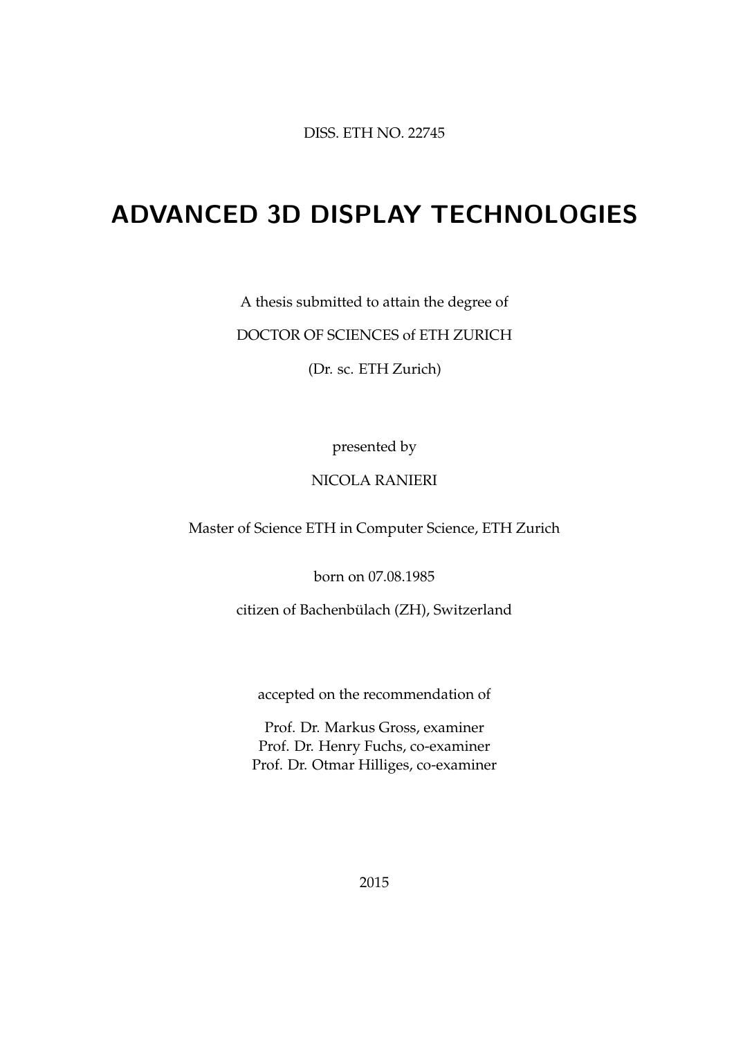DISS. ETH NO. 22745

### ADVANCED 3D DISPLAY TECHNOLOGIES

A thesis submitted to attain the degree of

DOCTOR OF SCIENCES of ETH ZURICH

(Dr. sc. ETH Zurich)

presented by

#### NICOLA RANIERI

Master of Science ETH in Computer Science, ETH Zurich

born on 07.08.1985

citizen of Bachenbülach (ZH), Switzerland

accepted on the recommendation of

Prof. Dr. Markus Gross, examiner Prof. Dr. Henry Fuchs, co-examiner Prof. Dr. Otmar Hilliges, co-examiner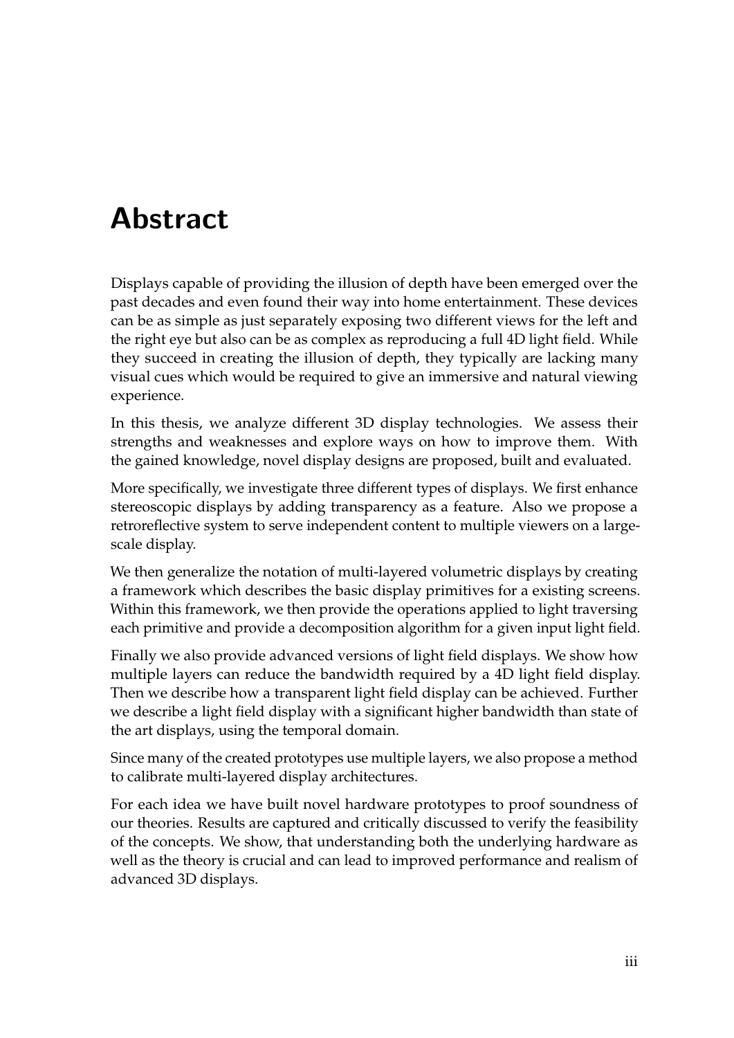### Abstract

Displays capable of providing the illusion of depth have been emerged over the past decades and even found their way into home entertainment. These devices can be as simple as just separately exposing two different views for the left and the right eye but also can be as complex as reproducing a full 4D light field. While they succeed in creating the illusion of depth, they typically are lacking many visual cues which would be required to give an immersive and natural viewing experience.

In this thesis, we analyze different 3D display technologies. We assess their strengths and weaknesses and explore ways on how to improve them. With the gained knowledge, novel display designs are proposed, built and evaluated.

More specifically, we investigate three different types of displays. We first enhance stereoscopic displays by adding transparency as a feature. Also we propose a retroreflective system to serve independent content to multiple viewers on a largescale display.

We then generalize the notation of multi-layered volumetric displays by creating a framework which describes the basic display primitives for a existing screens. Within this framework, we then provide the operations applied to light traversing each primitive and provide a decomposition algorithm for a given input light field.

Finally we also provide advanced versions of light field displays. We show how multiple layers can reduce the bandwidth required by a 4D light field display. Then we describe how a transparent light field display can be achieved. Further we describe a light field display with a significant higher bandwidth than state of the art displays, using the temporal domain.

Since many of the created prototypes use multiple layers, we also propose a method to calibrate multi-layered display architectures.

For each idea we have built novel hardware prototypes to proof soundness of our theories. Results are captured and critically discussed to verify the feasibility of the concepts. We show, that understanding both the underlying hardware as well as the theory is crucial and can lead to improved performance and realism of advanced 3D displays.